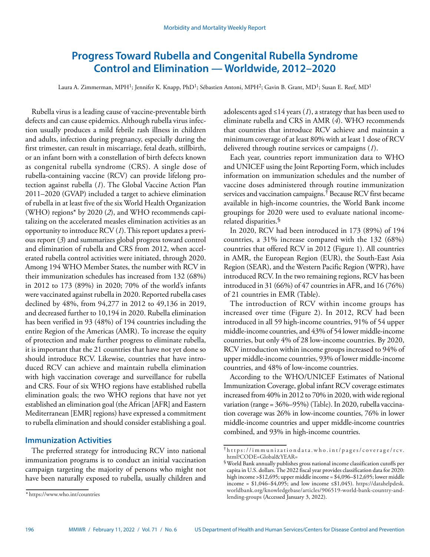# **Progress Toward Rubella and Congenital Rubella Syndrome Control and Elimination — Worldwide, 2012–2020**

Laura A. Zimmerman, MPH<sup>1</sup>; Jennifer K. Knapp, PhD<sup>1</sup>; Sébastien Antoni, MPH<sup>2</sup>; Gavin B. Grant, MD<sup>1</sup>; Susan E. Reef, MD<sup>1</sup>

Rubella virus is a leading cause of vaccine-preventable birth defects and can cause epidemics. Although rubella virus infection usually produces a mild febrile rash illness in children and adults, infection during pregnancy, especially during the first trimester, can result in miscarriage, fetal death, stillbirth, or an infant born with a constellation of birth defects known as congenital rubella syndrome (CRS). A single dose of rubella-containing vaccine (RCV) can provide lifelong protection against rubella (*1*). The Global Vaccine Action Plan 2011–2020 (GVAP) included a target to achieve elimination of rubella in at least five of the six World Health Organization (WHO) regions\* by 2020 (*2*), and WHO recommends capitalizing on the accelerated measles elimination activities as an opportunity to introduce RCV (*1*). This report updates a previous report (*3*) and summarizes global progress toward control and elimination of rubella and CRS from 2012, when accelerated rubella control activities were initiated, through 2020. Among 194 WHO Member States, the number with RCV in their immunization schedules has increased from 132 (68%) in 2012 to 173 (89%) in 2020; 70% of the world's infants were vaccinated against rubella in 2020. Reported rubella cases declined by 48%, from 94,277 in 2012 to 49,136 in 2019, and decreased further to 10,194 in 2020. Rubella elimination has been verified in 93 (48%) of 194 countries including the entire Region of the Americas (AMR). To increase the equity of protection and make further progress to eliminate rubella, it is important that the 21 countries that have not yet done so should introduce RCV. Likewise, countries that have introduced RCV can achieve and maintain rubella elimination with high vaccination coverage and surveillance for rubella and CRS. Four of six WHO regions have established rubella elimination goals; the two WHO regions that have not yet established an elimination goal (the African [AFR] and Eastern Mediterranean [EMR] regions) have expressed a commitment to rubella elimination and should consider establishing a goal.

### **Immunization Activities**

The preferred strategy for introducing RCV into national immunization programs is to conduct an initial vaccination campaign targeting the majority of persons who might not have been naturally exposed to rubella, usually children and adolescents aged  $\leq$ 14 years (*1*), a strategy that has been used to eliminate rubella and CRS in AMR (*4*). WHO recommends that countries that introduce RCV achieve and maintain a minimum coverage of at least 80% with at least 1 dose of RCV delivered through routine services or campaigns (*1*).

Each year, countries report immunization data to WHO and UNICEF using the Joint Reporting Form, which includes information on immunization schedules and the number of vaccine doses administered through routine immunization services and vaccination campaigns.† Because RCV first became available in high-income countries, the World Bank income groupings for 2020 were used to evaluate national incomerelated disparities.§

In 2020, RCV had been introduced in 173 (89%) of 194 countries, a 31% increase compared with the 132 (68%) countries that offered RCV in 2012 (Figure 1). All countries in AMR, the European Region (EUR), the South-East Asia Region (SEAR), and the Western Pacific Region (WPR), have introduced RCV. In the two remaining regions, RCV has been introduced in 31 (66%) of 47 countries in AFR, and 16 (76%) of 21 countries in EMR (Table).

The introduction of RCV within income groups has increased over time (Figure 2). In 2012, RCV had been introduced in all 59 high-income countries, 91% of 54 upper middle-income countries, and 43% of 54 lower middle-income countries, but only 4% of 28 low-income countries. By 2020, RCV introduction within income groups increased to 94% of upper middle-income countries, 93% of lower middle-income countries, and 48% of low-income countries.

According to the WHO/UNICEF Estimates of National Immunization Coverage, global infant RCV coverage estimates increased from 40% in 2012 to 70% in 2020, with wide regional variation (range = 36%–95%) (Table). In 2020, rubella vaccination coverage was 26% in low-income counties, 76% in lower middle-income countries and upper middle-income countries combined, and 93% in high-income countries.

<sup>\*</sup> <https://www.who.int/countries>

<sup>†</sup> [https://immunizationdata.who.int/pages/coverage/rcv.](https://immunizationdata.who.int/pages/coverage/rcv.html?CODE=Global&YEAR=) [html?CODE=Global&YEAR=](https://immunizationdata.who.int/pages/coverage/rcv.html?CODE=Global&YEAR=)

<sup>§</sup>World Bank annually publishes gross national income classification cutoffs per capita in U.S. dollars. The 2022 fiscal year provides classification data for 2020: high income >\$12,695; upper middle income = \$4,096–\$12,695; lower middle income =  $$1,046–$4,095$ ; and low income  $\leq $1,045$ ). [https://datahelpdesk.](https://datahelpdesk.worldbank.org/knowledgebase/articles/906519-world-bank-country-and-lending-groups) [worldbank.org/knowledgebase/articles/906519-world-bank-country-and](https://datahelpdesk.worldbank.org/knowledgebase/articles/906519-world-bank-country-and-lending-groups)[lending-groups](https://datahelpdesk.worldbank.org/knowledgebase/articles/906519-world-bank-country-and-lending-groups) (Accessed January 3, 2022).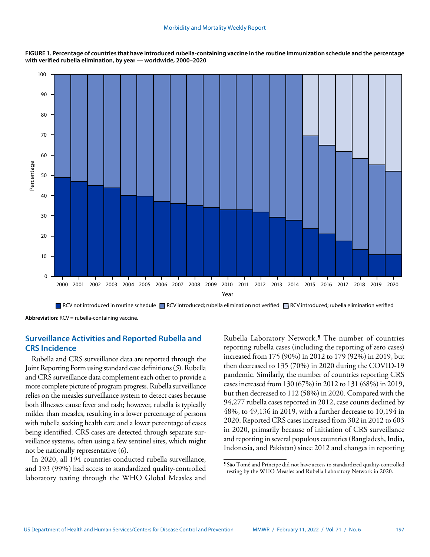**FIGURE 1. Percentage of countries that have introduced rubella-containing vaccine in the routine immunization schedule and the percentage with verified rubella elimination, by year — worldwide, 2000–2020** 



RCV not introduced in routine schedule RCV introduced; rubella elimination not verified RCV introduced; rubella elimination verified

**Abbreviation:** RCV = rubella-containing vaccine.

## **Surveillance Activities and Reported Rubella and CRS Incidence**

Rubella and CRS surveillance data are reported through the Joint Reporting Form using standard case definitions (*5*). Rubella and CRS surveillance data complement each other to provide a more complete picture of program progress. Rubella surveillance relies on the measles surveillance system to detect cases because both illnesses cause fever and rash; however, rubella is typically milder than measles, resulting in a lower percentage of persons with rubella seeking health care and a lower percentage of cases being identified. CRS cases are detected through separate surveillance systems, often using a few sentinel sites, which might not be nationally representative (*6*).

In 2020, all 194 countries conducted rubella surveillance, and 193 (99%) had access to standardized quality-controlled laboratory testing through the WHO Global Measles and Rubella Laboratory Network.¶ The number of countries reporting rubella cases (including the reporting of zero cases) increased from 175 (90%) in 2012 to 179 (92%) in 2019, but then decreased to 135 (70%) in 2020 during the COVID-19 pandemic. Similarly, the number of countries reporting CRS cases increased from 130 (67%) in 2012 to 131 (68%) in 2019, but then decreased to 112 (58%) in 2020. Compared with the 94,277 rubella cases reported in 2012, case counts declined by 48%, to 49,136 in 2019, with a further decrease to 10,194 in 2020. Reported CRS cases increased from 302 in 2012 to 603 in 2020, primarily because of initiation of CRS surveillance and reporting in several populous countries (Bangladesh, India, Indonesia, and Pakistan) since 2012 and changes in reporting

<sup>¶</sup> São Tomé and Príncipe did not have access to standardized quality-controlled testing by the WHO Measles and Rubella Laboratory Network in 2020.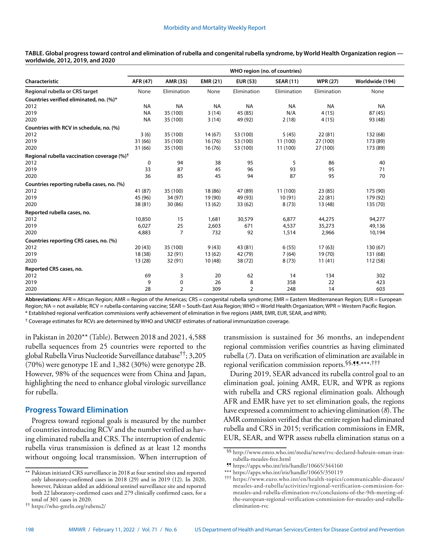| Characteristic                                       |           | WHO region (no. of countries) |                 |                 |                  |                 |                 |  |
|------------------------------------------------------|-----------|-------------------------------|-----------------|-----------------|------------------|-----------------|-----------------|--|
|                                                      | AFR (47)  | AMR (35)                      | <b>EMR (21)</b> | <b>EUR (53)</b> | <b>SEAR (11)</b> | <b>WPR (27)</b> | Worldwide (194) |  |
| Regional rubella or CRS target                       | None      | Elimination                   | None            | Elimination     | Elimination      | Elimination     | None            |  |
| Countries verified eliminated, no. (%)*              |           |                               |                 |                 |                  |                 |                 |  |
| 2012                                                 | <b>NA</b> | <b>NA</b>                     | <b>NA</b>       | <b>NA</b>       | <b>NA</b>        | <b>NA</b>       | <b>NA</b>       |  |
| 2019                                                 | <b>NA</b> | 35 (100)                      | 3(14)           | 45 (85)         | N/A              | 4(15)           | 87 (45)         |  |
| 2020                                                 | <b>NA</b> | 35 (100)                      | 3(14)           | 49 (92)         | 2(18)            | 4(15)           | 93 (48)         |  |
| Countries with RCV in schedule, no. (%)              |           |                               |                 |                 |                  |                 |                 |  |
| 2012                                                 | 3(6)      | 35 (100)                      | 14 (67)         | 53 (100)        | 5(45)            | 22(81)          | 132 (68)        |  |
| 2019                                                 | 31 (66)   | 35 (100)                      | 16(76)          | 53 (100)        | 11 (100)         | 27 (100)        | 173 (89)        |  |
| 2020                                                 | 31 (66)   | 35 (100)                      | 16(76)          | 53 (100)        | 11 (100)         | 27 (100)        | 173 (89)        |  |
| Regional rubella vaccination coverage (%) $^\dagger$ |           |                               |                 |                 |                  |                 |                 |  |
| 2012                                                 | 0         | 94                            | 38              | 95              | 5                | 86              | 40              |  |
| 2019                                                 | 33        | 87                            | 45              | 96              | 93               | 95              | 71              |  |
| 2020                                                 | 36        | 85                            | 45              | 94              | 87               | 95              | 70              |  |
| Countries reporting rubella cases, no. (%)           |           |                               |                 |                 |                  |                 |                 |  |
| 2012                                                 | 41 (87)   | 35 (100)                      | 18 (86)         | 47 (89)         | 11 (100)         | 23(85)          | 175 (90)        |  |
| 2019                                                 | 45 (96)   | 34 (97)                       | 19 (90)         | 49 (93)         | 10(91)           | 22(81)          | 179 (92)        |  |
| 2020                                                 | 38 (81)   | 30(86)                        | 13(62)          | 33 (62)         | 8(73)            | 13 (48)         | 135 (70)        |  |
| Reported rubella cases, no.                          |           |                               |                 |                 |                  |                 |                 |  |
| 2012                                                 | 10,850    | 15                            | 1,681           | 30,579          | 6,877            | 44,275          | 94,277          |  |
| 2019                                                 | 6,027     | 25                            | 2,603           | 671             | 4,537            | 35,273          | 49,136          |  |
| 2020                                                 | 4,883     | 7                             | 732             | 92              | 1,514            | 2,966           | 10,194          |  |
| Countries reporting CRS cases, no. (%)               |           |                               |                 |                 |                  |                 |                 |  |
| 2012                                                 | 20(43)    | 35 (100)                      | 9(43)           | 43 (81)         | 6(55)            | 17(63)          | 130 (67)        |  |
| 2019                                                 | 18 (38)   | 32 (91)                       | 13(62)          | 42 (79)         | 7(64)            | 19 (70)         | 131 (68)        |  |
| 2020                                                 | 13(28)    | 32 (91)                       | 10(48)          | 38 (72)         | 8(73)            | 11(41)          | 112 (58)        |  |
| Reported CRS cases, no.                              |           |                               |                 |                 |                  |                 |                 |  |
| 2012                                                 | 69        | 3                             | 20              | 62              | 14               | 134             | 302             |  |
| 2019                                                 | 9         | 0                             | 26              | 8               | 358              | 22              | 423             |  |
| 2020                                                 | 28        | 2                             | 309             | 2               | 248              | 14              | 603             |  |
|                                                      |           |                               |                 |                 |                  |                 |                 |  |

**TABLE. Global progress toward control and elimination of rubella and congenital rubella syndrome, by World Health Organization region worldwide, 2012, 2019, and 2020**

**Abbreviations:** AFR = African Region; AMR = Region of the Americas; CRS = congenital rubella syndrome; EMR = Eastern Mediterranean Region; EUR = European Region; NA = not available; RCV = rubella-containing vaccine; SEAR = South-East Asia Region; WHO = World Health Organization; WPR = Western Pacific Region. \* Established regional verification commissions verify achievement of elimination in five regions (AMR, EMR, EUR, SEAR, and WPR).

† Coverage estimates for RCVs are determined by WHO and UNICEF estimates of national immunization coverage.

in Pakistan in 2020\*\* (Table). Between 2018 and 2021, 4,588 rubella sequences from 25 countries were reported to the global Rubella Virus Nucleotide Surveillance database††; 3,205 (70%) were genotype 1E and 1,382 (30%) were genotype 2B. However, 98% of the sequences were from China and Japan, highlighting the need to enhance global virologic surveillance for rubella.

# **Progress Toward Elimination**

Progress toward regional goals is measured by the number of countries introducing RCV and the number verified as having eliminated rubella and CRS. The interruption of endemic rubella virus transmission is defined as at least 12 months without ongoing local transmission. When interruption of transmission is sustained for 36 months, an independent regional commission verifies countries as having eliminated rubella (*7*). Data on verification of elimination are available in regional verification commission reports.§§,¶¶,\*\*\*,†††

During 2019, SEAR advanced its rubella control goal to an elimination goal, joining AMR, EUR, and WPR as regions with rubella and CRS regional elimination goals. Although AFR and EMR have yet to set elimination goals, the regions have expressed a commitment to achieving elimination (*8*). The AMR commission verified that the entire region had eliminated rubella and CRS in 2015; verification commissions in EMR, EUR, SEAR, and WPR assess rubella elimination status on a

<sup>\*\*</sup> Pakistan initiated CRS surveillance in 2018 at four sentinel sites and reported only laboratory-confirmed cases in 2018 (29) and in 2019 (12). In 2020, however, Pakistan added an additional sentinel surveillance site and reported both 22 laboratory-confirmed cases and 279 clinically confirmed cases, for a total of 301 cases in 2020.

<sup>††</sup> <https://who-gmrln.org/rubens2/>

<sup>§§</sup> [http://www.emro.who.int/media/news/rvc-declared-bahrain-oman-iran](http://www.emro.who.int/media/news/rvc-declared-bahrain-oman-iran-rubella-measles-free.html)[rubella-measles-free.html](http://www.emro.who.int/media/news/rvc-declared-bahrain-oman-iran-rubella-measles-free.html)

<sup>¶¶</sup> <https://apps.who.int/iris/handle/10665/344160>

<sup>\*\*\*</sup> <https://apps.who.int/iris/handle/10665/350119> ††† [https://www.euro.who.int/en/health-topics/communicable-diseases/](https://www.euro.who.int/en/health-topics/communicable-diseases/measles-and-rubella/activities/regional-verification-commission-for-measles-and-rubella-elimination-rvc/conclusions-of-the-9th-meeting-of-the-european-regional-verification-commission-for-measles-and-rubella-elimination-rvc) [measles-and-rubella/activities/regional-verification-commission-for](https://www.euro.who.int/en/health-topics/communicable-diseases/measles-and-rubella/activities/regional-verification-commission-for-measles-and-rubella-elimination-rvc/conclusions-of-the-9th-meeting-of-the-european-regional-verification-commission-for-measles-and-rubella-elimination-rvc)[measles-and-rubella-elimination-rvc/conclusions-of-the-9th-meeting-of](https://www.euro.who.int/en/health-topics/communicable-diseases/measles-and-rubella/activities/regional-verification-commission-for-measles-and-rubella-elimination-rvc/conclusions-of-the-9th-meeting-of-the-european-regional-verification-commission-for-measles-and-rubella-elimination-rvc)[the-european-regional-verification-commission-for-measles-and-rubella](https://www.euro.who.int/en/health-topics/communicable-diseases/measles-and-rubella/activities/regional-verification-commission-for-measles-and-rubella-elimination-rvc/conclusions-of-the-9th-meeting-of-the-european-regional-verification-commission-for-measles-and-rubella-elimination-rvc)[elimination-rvc](https://www.euro.who.int/en/health-topics/communicable-diseases/measles-and-rubella/activities/regional-verification-commission-for-measles-and-rubella-elimination-rvc/conclusions-of-the-9th-meeting-of-the-european-regional-verification-commission-for-measles-and-rubella-elimination-rvc)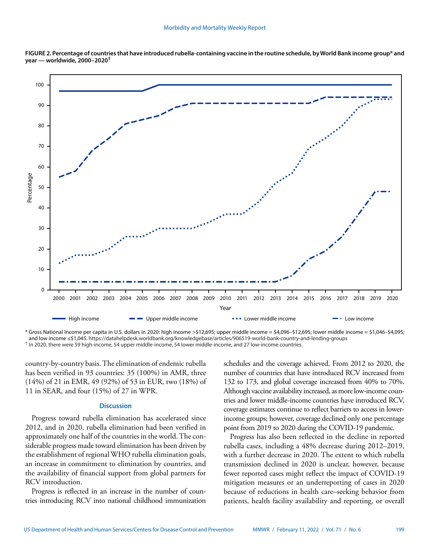



\* Gross National Income per capita in U.S. dollars in 2020: high income >\$12,695; upper middle income = \$4,096–\$12,695; lower middle income = \$1,046–\$4,095; and low income ≤\$1,045.<https://datahelpdesk.worldbank.org/knowledgebase/articles/906519-world-bank-country-and-lending-groups> † In 2020, there were 59 high-income, 54 upper middle-income, 54 lower middle-income, and 27 low-income countries.

country-by-country basis. The elimination of endemic rubella has been verified in 93 countries: 35 (100%) in AMR, three (14%) of 21 in EMR, 49 (92%) of 53 in EUR, two (18%) of 11 in SEAR, and four (15%) of 27 in WPR.

### **Discussion**

Progress toward rubella elimination has accelerated since 2012, and in 2020, rubella elimination had been verified in approximately one half of the countries in the world. The considerable progress made toward elimination has been driven by the establishment of regional WHO rubella elimination goals, an increase in commitment to elimination by countries, and the availability of financial support from global partners for RCV introduction.

Progress is reflected in an increase in the number of countries introducing RCV into national childhood immunization schedules and the coverage achieved. From 2012 to 2020, the number of countries that have introduced RCV increased from 132 to 173, and global coverage increased from 40% to 70%. Although vaccine availability increased, as more low-income countries and lower middle-income countries have introduced RCV, coverage estimates continue to reflect barriers to access in lowerincome groups; however, coverage declined only one percentage point from 2019 to 2020 during the COVID-19 pandemic.

Progress has also been reflected in the decline in reported rubella cases, including a 48% decrease during 2012–2019, with a further decrease in 2020. The extent to which rubella transmission declined in 2020 is unclear, however, because fewer reported cases might reflect the impact of COVID-19 mitigation measures or an underreporting of cases in 2020 because of reductions in health care–seeking behavior from patients, health facility availability and reporting, or overall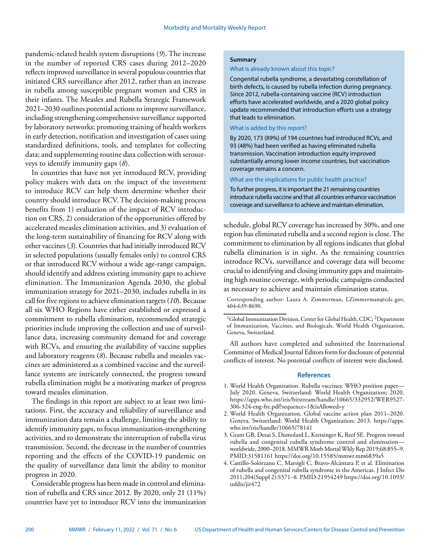pandemic-related health system disruptions (*9*). The increase in the number of reported CRS cases during 2012–2020 reflects improved surveillance in several populous countries that initiated CRS surveillance after 2012, rather than an increase in rubella among susceptible pregnant women and CRS in their infants. The Measles and Rubella Strategic Framework 2021–2030 outlines potential actions to improve surveillance, including strengthening comprehensive surveillance supported by laboratory networks; promoting training of health workers in early detection, notification and investigation of cases using standardized definitions, tools, and templates for collecting data; and supplementing routine data collection with serosurveys to identify immunity gaps (*8*).

In countries that have not yet introduced RCV, providing policy makers with data on the impact of the investment to introduce RCV can help them determine whether their country should introduce RCV. The decision-making process benefits from 1) evaluation of the impact of RCV introduction on CRS, 2) consideration of the opportunities offered by accelerated measles elimination activities, and 3) evaluation of the long-term sustainability of financing for RCV along with other vaccines (*3*). Countries that had initially introduced RCV in selected populations (usually females only) to control CRS or that introduced RCV without a wide age-range campaign, should identify and address existing immunity gaps to achieve elimination. The Immunization Agenda 2030, the global immunization strategy for 2021–2030, includes rubella in its call for five regions to achieve elimination targets (*10*). Because all six WHO Regions have either established or expressed a commitment to rubella elimination, recommended strategic priorities include improving the collection and use of surveillance data, increasing community demand for and coverage with RCVs, and ensuring the availability of vaccine supplies and laboratory reagents (*8*). Because rubella and measles vaccines are administered as a combined vaccine and the surveillance systems are intricately connected, the progress toward rubella elimination might be a motivating marker of progress toward measles elimination.

The findings in this report are subject to at least two limitations. First, the accuracy and reliability of surveillance and immunization data remain a challenge, limiting the ability to identify immunity gaps, to focus immunization-strengthening activities, and to demonstrate the interruption of rubella virus transmission. Second, the decrease in the number of countries reporting and the effects of the COVID-19 pandemic on the quality of surveillance data limit the ability to monitor progress in 2020.

Considerable progress has been made in control and elimination of rubella and CRS since 2012. By 2020, only 21 (11%) countries have yet to introduce RCV into the immunization

#### **Summary**

#### What is already known about this topic?

Congenital rubella syndrome, a devastating constellation of birth defects, is caused by rubella infection during pregnancy. Since 2012, rubella-containing vaccine (RCV) introduction efforts have accelerated worldwide, and a 2020 global policy update recommended that introduction efforts use a strategy that leads to elimination.

### What is added by this report?

By 2020, 173 (89%) of 194 countries had introduced RCVs, and 93 (48%) had been verified as having eliminated rubella transmission. Vaccination introduction equity improved substantially among lower income countries, but vaccination coverage remains a concern.

#### What are the implications for public health practice?

To further progress, it is important the 21 remaining countries introduce rubella vaccine and that all countries enhance vaccination coverage and surveillance to achieve and maintain elimination.

schedule, global RCV coverage has increased by 30%, and one region has eliminated rubella and a second region is close. The commitment to elimination by all regions indicates that global rubella elimination is in sight. As the remaining countries introduce RCVs, surveillance and coverage data will become crucial to identifying and closing immunity gaps and maintaining high routine coverage, with periodic campaigns conducted as necessary to achieve and maintain elimination status.

Corresponding author: Laura A. Zimmerman, [LZimmerman@cdc.gov,](mailto:LZimmerman@cdc.gov) 404-639-8690.

All authors have completed and submitted the International Committee of Medical Journal Editors form for disclosure of potential conflicts of interest. No potential conflicts of interest were disclosed.

#### **References**

- 1. World Health Organization. Rubella vaccines: WHO position paper— July 2020. Geneva, Switzerland: World Health Organization; 2020. [https://apps.who.int/iris/bitstream/handle/10665/332952/WER9527-](https://apps.who.int/iris/bitstream/handle/10665/332952/WER9527-306-324-eng-fre.pdf?sequence=1&isAllowed=y) [306-324-eng-fre.pdf?sequence=1&isAllowed=y](https://apps.who.int/iris/bitstream/handle/10665/332952/WER9527-306-324-eng-fre.pdf?sequence=1&isAllowed=y)
- 2. World Health Organization. Global vaccine action plan 2011–2020. Geneva, Switzerland: World Health Organization; 2013. [https://apps.](https://apps.who.int/iris/handle/10665/78141) [who.int/iris/handle/10665/78141](https://apps.who.int/iris/handle/10665/78141)
- 3. Grant GB, Desai S, Dumolard L, Kretsinger K, Reef SE. Progress toward rubella and congenital rubella syndrome control and elimination worldwide, 2000–2018. MMWR Morb Mortal Wkly Rep 2019;68:855–9. [PMID:31581161](https://www.ncbi.nlm.nih.gov/entrez/query.fcgi?cmd=Retrieve&db=PubMed&list_uids=31581161&dopt=Abstract) <https://doi.org/10.15585/mmwr.mm6839a5>
- 4. Castillo-Solórzano C, Marsigli C, Bravo-Alcántara P, et al. Elimination of rubella and congenital rubella syndrome in the Americas. J Infect Dis 2011;204(Suppl 2):S571–8[. PMID:21954249](https://www.ncbi.nlm.nih.gov/entrez/query.fcgi?cmd=Retrieve&db=PubMed&list_uids=21954249&dopt=Abstract) [https://doi.org/10.1093/](https://doi.org/10.1093/infdis/jir472) [infdis/jir472](https://doi.org/10.1093/infdis/jir472)

<sup>&</sup>lt;sup>1</sup>Global Immunization Division, Center for Global Health, CDC; <sup>2</sup>Department of Immunization, Vaccines, and Biologicals, World Health Organization, Geneva, Switzerland.